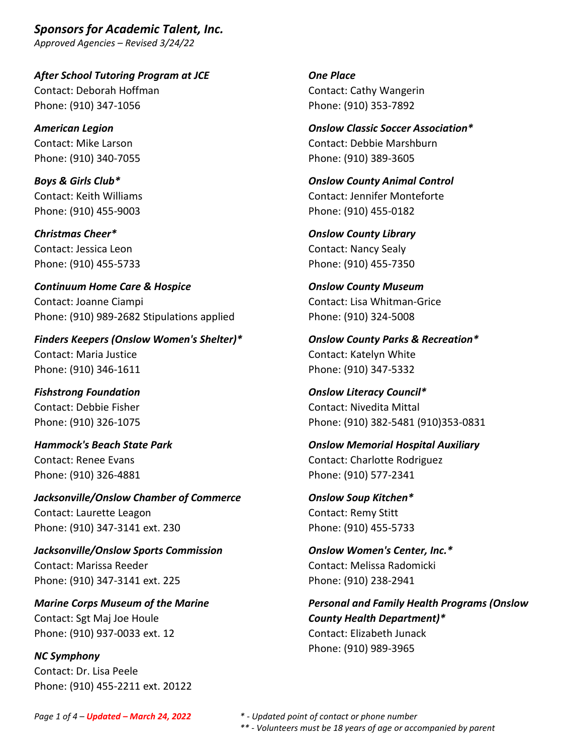*After School Tutoring Program at JCE* Contact: Deborah Hoffman Phone: (910) 347-1056

*American Legion* Contact: Mike Larson Phone: (910) 340-7055

*Boys & Girls Club\** Contact: Keith Williams Phone: (910) 455-9003

*Christmas Cheer\** Contact: Jessica Leon Phone: (910) 455-5733

*Continuum Home Care & Hospice* Contact: Joanne Ciampi Phone: (910) 989-2682 Stipulations applied

*Finders Keepers (Onslow Women's Shelter)\** Contact: Maria Justice Phone: (910) 346-1611

*Fishstrong Foundation* Contact: Debbie Fisher Phone: (910) 326-1075

*Hammock's Beach State Park* Contact: Renee Evans Phone: (910) 326-4881

*Jacksonville/Onslow Chamber of Commerce* Contact: Laurette Leagon Phone: (910) 347-3141 ext. 230

*Jacksonville/Onslow Sports Commission* Contact: Marissa Reeder Phone: (910) 347-3141 ext. 225

*Marine Corps Museum of the Marine* Contact: Sgt Maj Joe Houle Phone: (910) 937-0033 ext. 12

*NC Symphony* Contact: Dr. Lisa Peele Phone: (910) 455-2211 ext. 20122 *One Place* Contact: Cathy Wangerin Phone: (910) 353-7892

*Onslow Classic Soccer Association\** Contact: Debbie Marshburn Phone: (910) 389-3605

*Onslow County Animal Control* Contact: Jennifer Monteforte Phone: (910) 455-0182

*Onslow County Library* Contact: Nancy Sealy Phone: (910) 455-7350

*Onslow County Museum* Contact: Lisa Whitman-Grice Phone: (910) 324-5008

*Onslow County Parks & Recreation\** Contact: Katelyn White Phone: (910) 347-5332

*Onslow Literacy Council\** Contact: Nivedita Mittal Phone: (910) 382-5481 (910)353-0831

*Onslow Memorial Hospital Auxiliary* Contact: Charlotte Rodriguez Phone: (910) 577-2341

*Onslow Soup Kitchen\** Contact: Remy Stitt Phone: (910) 455-5733

*Onslow Women's Center, Inc.\** Contact: Melissa Radomicki Phone: (910) 238-2941

*Personal and Family Health Programs (Onslow County Health Department)\** Contact: Elizabeth Junack Phone: (910) 989-3965

*Page 1 of 4 – Updated – March 24, 2022 \* - Updated point of contact or phone number*

*\*\* - Volunteers must be 18 years of age or accompanied by parent*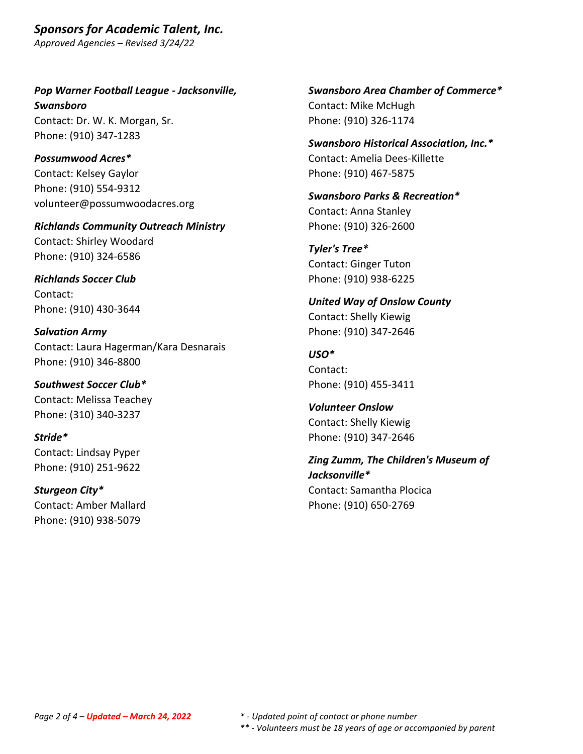*Pop Warner Football League - Jacksonville, Swansboro* Contact: Dr. W. K. Morgan, Sr. Phone: (910) 347-1283

*Possumwood Acres\** Contact: Kelsey Gaylor Phone: (910) 554-9312 volunteer@possumwoodacres.org

*Richlands Community Outreach Ministry* Contact: Shirley Woodard Phone: (910) 324-6586

*Richlands Soccer Club* Contact: Phone: (910) 430-3644

*Salvation Army* Contact: Laura Hagerman/Kara Desnarais Phone: (910) 346-8800

*Southwest Soccer Club\** Contact: Melissa Teachey Phone: (310) 340-3237

*Stride\** Contact: Lindsay Pyper Phone: (910) 251-9622

*Sturgeon City\** Contact: Amber Mallard Phone: (910) 938-5079

*Swansboro Area Chamber of Commerce\** Contact: Mike McHugh Phone: (910) 326-1174

*Swansboro Historical Association, Inc.\** Contact: Amelia Dees-Killette Phone: (910) 467-5875

*Swansboro Parks & Recreation\** Contact: Anna Stanley Phone: (910) 326-2600

*Tyler's Tree\** Contact: Ginger Tuton Phone: (910) 938-6225

*United Way of Onslow County* Contact: Shelly Kiewig Phone: (910) 347-2646

*USO\** Contact: Phone: (910) 455-3411

*Volunteer Onslow* Contact: Shelly Kiewig Phone: (910) 347-2646

*Zing Zumm, The Children's Museum of Jacksonville\** Contact: Samantha Plocica Phone: (910) 650-2769

*Page 2 of 4 – Updated – March 24, 2022 \* - Updated point of contact or phone number \*\* - Volunteers must be 18 years of age or accompanied by parent*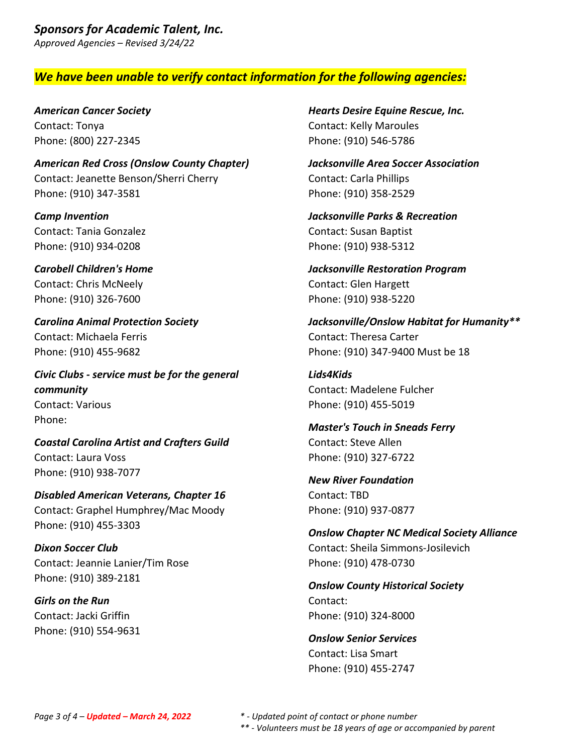## *We have been unable to verify contact information for the following agencies:*

*American Cancer Society* Contact: Tonya Phone: (800) 227-2345

*American Red Cross (Onslow County Chapter)* Contact: Jeanette Benson/Sherri Cherry Phone: (910) 347-3581

*Camp Invention* Contact: Tania Gonzalez Phone: (910) 934-0208

*Carobell Children's Home* Contact: Chris McNeely Phone: (910) 326-7600

*Carolina Animal Protection Society* Contact: Michaela Ferris Phone: (910) 455-9682

*Civic Clubs - service must be for the general community* Contact: Various Phone:

*Coastal Carolina Artist and Crafters Guild* Contact: Laura Voss Phone: (910) 938-7077

*Disabled American Veterans, Chapter 16* Contact: Graphel Humphrey/Mac Moody Phone: (910) 455-3303

*Dixon Soccer Club* Contact: Jeannie Lanier/Tim Rose Phone: (910) 389-2181

*Girls on the Run* Contact: Jacki Griffin Phone: (910) 554-9631 *Hearts Desire Equine Rescue, Inc.* Contact: Kelly Maroules Phone: (910) 546-5786

*Jacksonville Area Soccer Association* Contact: Carla Phillips Phone: (910) 358-2529

*Jacksonville Parks & Recreation* Contact: Susan Baptist Phone: (910) 938-5312

*Jacksonville Restoration Program* Contact: Glen Hargett Phone: (910) 938-5220

*Jacksonville/Onslow Habitat for Humanity\*\** Contact: Theresa Carter Phone: (910) 347-9400 Must be 18

*Lids4Kids* Contact: Madelene Fulcher Phone: (910) 455-5019

*Master's Touch in Sneads Ferry* Contact: Steve Allen Phone: (910) 327-6722

*New River Foundation* Contact: TBD Phone: (910) 937-0877

*Onslow Chapter NC Medical Society Alliance* Contact: Sheila Simmons-Josilevich Phone: (910) 478-0730

*Onslow County Historical Society* Contact: Phone: (910) 324-8000

*Onslow Senior Services* Contact: Lisa Smart Phone: (910) 455-2747

*<sup>\*\* -</sup> Volunteers must be 18 years of age or accompanied by parent*